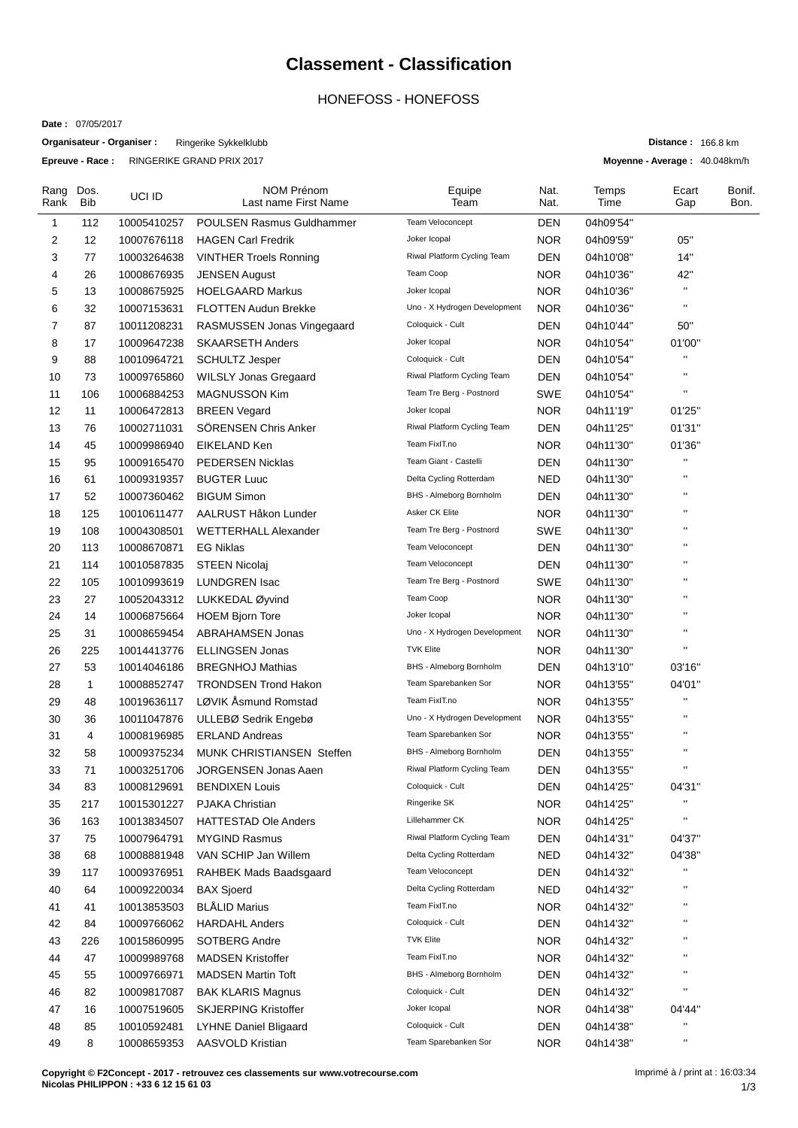## **Classement - Classification**

## HONEFOSS - HONEFOSS

**Date :** 07/05/2017

**Organisateur - Organiser :** Ringerike Sykkelklubb **Epreuve - Race :** RINGERIKE GRAND PRIX 2017

**Distance :** 166.8 km

**Moyenne - Average :** 40.048km/h

| Rang<br>Rank | Dos.<br><b>Bib</b> | UCI ID      | NOM Prénom<br>Last name First Name | Equipe<br>Team               | Nat.<br>Nat. | Temps<br>Time | Ecart<br>Gap   | Bonif.<br>Bon. |
|--------------|--------------------|-------------|------------------------------------|------------------------------|--------------|---------------|----------------|----------------|
| $\mathbf{1}$ | 112                | 10005410257 | <b>POULSEN Rasmus Guldhammer</b>   | Team Veloconcept             | <b>DEN</b>   | 04h09'54"     |                |                |
| 2            | 12                 | 10007676118 | <b>HAGEN Carl Fredrik</b>          | Joker Icopal                 | <b>NOR</b>   | 04h09'59"     | 05"            |                |
| 3            | 77                 | 10003264638 | <b>VINTHER Troels Ronning</b>      | Riwal Platform Cycling Team  | <b>DEN</b>   | 04h10'08"     | 14"            |                |
| 4            | 26                 | 10008676935 | <b>JENSEN August</b>               | Team Coop                    | <b>NOR</b>   | 04h10'36"     | 42"            |                |
| 5            | 13                 | 10008675925 | <b>HOELGAARD Markus</b>            | Joker Icopal                 | <b>NOR</b>   | 04h10'36"     | $\mathbf{H}$   |                |
| 6            | 32                 | 10007153631 | <b>FLOTTEN Audun Brekke</b>        | Uno - X Hydrogen Development | <b>NOR</b>   | 04h10'36"     | $\mathbf{H}$   |                |
| 7            | 87                 | 10011208231 | RASMUSSEN Jonas Vingegaard         | Coloquick - Cult             | <b>DEN</b>   | 04h10'44"     | 50"            |                |
| 8            | 17                 | 10009647238 | <b>SKAARSETH Anders</b>            | Joker Icopal                 | <b>NOR</b>   | 04h10'54"     | 01'00"         |                |
| 9            | 88                 | 10010964721 | <b>SCHULTZ Jesper</b>              | Coloquick - Cult             | <b>DEN</b>   | 04h10'54"     | $\mathbf{H}$   |                |
| 10           | 73                 | 10009765860 | <b>WILSLY Jonas Gregaard</b>       | Riwal Platform Cycling Team  | DEN          | 04h10'54"     | $\mathbf{H}$   |                |
| 11           | 106                | 10006884253 | <b>MAGNUSSON Kim</b>               | Team Tre Berg - Postnord     | <b>SWE</b>   | 04h10'54"     | $\mathbf{H}$   |                |
| 12           | 11                 | 10006472813 | <b>BREEN Vegard</b>                | Joker Icopal                 | <b>NOR</b>   | 04h11'19"     | 01'25"         |                |
| 13           | 76                 | 10002711031 | SÖRENSEN Chris Anker               | Riwal Platform Cycling Team  | DEN          | 04h11'25"     | 01'31"         |                |
| 14           | 45                 | 10009986940 | EIKELAND Ken                       | Team FixIT.no                | <b>NOR</b>   | 04h11'30"     | 01'36"         |                |
| 15           | 95                 | 10009165470 | <b>PEDERSEN Nicklas</b>            | Team Giant - Castelli        | <b>DEN</b>   | 04h11'30"     | $\mathbf{H}$   |                |
| 16           | 61                 | 10009319357 | <b>BUGTER Luuc</b>                 | Delta Cycling Rotterdam      | <b>NED</b>   | 04h11'30"     | $\mathbf{H}$   |                |
| 17           | 52                 | 10007360462 | <b>BIGUM Simon</b>                 | BHS - Almeborg Bornholm      | <b>DEN</b>   | 04h11'30"     | $\mathbf{H}$   |                |
| 18           | 125                | 10010611477 | AALRUST Håkon Lunder               | Asker CK Elite               | <b>NOR</b>   | 04h11'30"     | $\mathbf{H}$   |                |
| 19           | 108                | 10004308501 | <b>WETTERHALL Alexander</b>        | Team Tre Berg - Postnord     | SWE          | 04h11'30"     | $\mathbf{H}$   |                |
| 20           | 113                | 10008670871 | <b>EG Niklas</b>                   | Team Veloconcept             | DEN          | 04h11'30"     | $\mathbf{H}$   |                |
| 21           | 114                | 10010587835 | <b>STEEN Nicolai</b>               | Team Veloconcept             | DEN          | 04h11'30"     | $\mathbf{H}$   |                |
| 22           | 105                | 10010993619 | <b>LUNDGREN Isac</b>               | Team Tre Berg - Postnord     | SWE          | 04h11'30"     | $\mathbf{H}$   |                |
| 23           | 27                 | 10052043312 | LUKKEDAL Øyvind                    | Team Coop                    | <b>NOR</b>   | 04h11'30"     | $\blacksquare$ |                |
| 24           | 14                 | 10006875664 | <b>HOEM Bjorn Tore</b>             | Joker Icopal                 | <b>NOR</b>   | 04h11'30"     | $\mathbf{H}$   |                |
| 25           | 31                 | 10008659454 | ABRAHAMSEN Jonas                   | Uno - X Hydrogen Development | <b>NOR</b>   | 04h11'30"     | $\mathbf{H}$   |                |
| 26           | 225                | 10014413776 | <b>ELLINGSEN Jonas</b>             | <b>TVK Elite</b>             | <b>NOR</b>   | 04h11'30"     | $\mathbf{H}$   |                |
| 27           | 53                 | 10014046186 | <b>BREGNHOJ Mathias</b>            | BHS - Almeborg Bornholm      | <b>DEN</b>   | 04h13'10"     | 03'16"         |                |
| 28           | 1                  | 10008852747 | <b>TRONDSEN Trond Hakon</b>        | Team Sparebanken Sor         | <b>NOR</b>   | 04h13'55"     | 04'01"         |                |
| 29           | 48                 | 10019636117 | LØVIK Åsmund Romstad               | Team FixIT.no                | <b>NOR</b>   | 04h13'55"     | $\mathbf{H}$   |                |
| 30           | 36                 | 10011047876 | ULLEBØ Sedrik Engebø               | Uno - X Hydrogen Development | <b>NOR</b>   | 04h13'55"     | $\mathbf{H}$   |                |
| 31           | 4                  | 10008196985 | <b>ERLAND Andreas</b>              | Team Sparebanken Sor         | <b>NOR</b>   | 04h13'55"     | $\mathbf{H}$   |                |
| 32           | 58                 | 10009375234 | <b>MUNK CHRISTIANSEN Steffen</b>   | BHS - Almeborg Bornholm      | <b>DEN</b>   | 04h13'55"     | $\mathbf{H}$   |                |
| 33           | 71                 | 10003251706 | <b>JORGENSEN Jonas Aaen</b>        | Riwal Platform Cycling Team  | DEN          | 04h13'55"     | $\mathbf{H}$   |                |
| 34           | 83                 | 10008129691 | <b>BENDIXEN Louis</b>              | Coloquick - Cult             | DEN          | 04h14'25"     | 04'31"         |                |
| 35           | 217                | 10015301227 | PJAKA Christian                    | Ringerike SK                 | <b>NOR</b>   | 04h14'25"     | $\mathbf{H}$   |                |
| 36           | 163                | 10013834507 | <b>HATTESTAD Ole Anders</b>        | Lillehammer CK               | <b>NOR</b>   | 04h14'25"     | $\mathbf{H}$   |                |
| 37           | 75                 | 10007964791 | <b>MYGIND Rasmus</b>               | Riwal Platform Cycling Team  | <b>DEN</b>   | 04h14'31"     | 04'37"         |                |
| 38           | 68                 | 10008881948 | VAN SCHIP Jan Willem               | Delta Cycling Rotterdam      | <b>NED</b>   | 04h14'32"     | 04'38"         |                |
| 39           | 117                | 10009376951 | RAHBEK Mads Baadsgaard             | Team Veloconcept             | <b>DEN</b>   | 04h14'32"     | .,             |                |
| 40           | 64                 | 10009220034 | <b>BAX Sjoerd</b>                  | Delta Cycling Rotterdam      | <b>NED</b>   | 04h14'32"     | $\mathbf{H}$   |                |
| 41           | 41                 | 10013853503 | <b>BLÅLID Marius</b>               | Team FixIT.no                | <b>NOR</b>   | 04h14'32"     | $\blacksquare$ |                |
| 42           | 84                 | 10009766062 | <b>HARDAHL Anders</b>              | Coloquick - Cult             | <b>DEN</b>   | 04h14'32"     | $\mathbf{H}$   |                |
| 43           | 226                | 10015860995 | SOTBERG Andre                      | <b>TVK Elite</b>             | <b>NOR</b>   | 04h14'32"     |                |                |
| 44           | 47                 | 10009989768 | <b>MADSEN Kristoffer</b>           | Team FixIT.no                | <b>NOR</b>   | 04h14'32"     | $\mathbf{H}$   |                |
| 45           | 55                 | 10009766971 | <b>MADSEN Martin Toft</b>          | BHS - Almeborg Bornholm      | <b>DEN</b>   | 04h14'32"     | $\blacksquare$ |                |
| 46           | 82                 | 10009817087 | <b>BAK KLARIS Magnus</b>           | Coloquick - Cult             | <b>DEN</b>   | 04h14'32"     | $\mathbf{H}$   |                |
| 47           | 16                 | 10007519605 | <b>SKJERPING Kristoffer</b>        | Joker Icopal                 | <b>NOR</b>   | 04h14'38"     | 04'44"         |                |
| 48           | 85                 | 10010592481 | LYHNE Daniel Bligaard              | Coloquick - Cult             | <b>DEN</b>   | 04h14'38"     | $\mathbf{H}$   |                |
| 49           | 8                  | 10008659353 | AASVOLD Kristian                   | Team Sparebanken Sor         | <b>NOR</b>   | 04h14'38"     | $\mathbf{H}$   |                |
|              |                    |             |                                    |                              |              |               |                |                |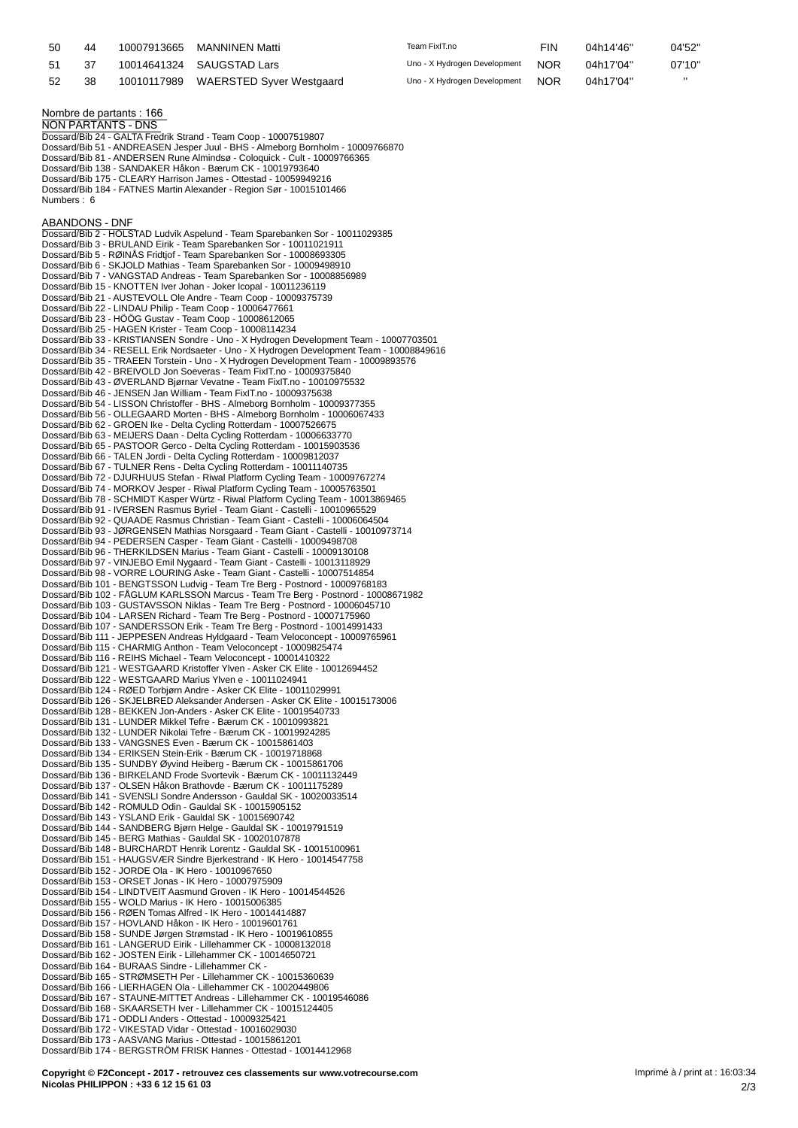| 50 | 44 | 10007913665 | MANNINEN Matti                       | Team FixIT.no                | FIN        | 04h14'46" | 04'52" |
|----|----|-------------|--------------------------------------|------------------------------|------------|-----------|--------|
| 51 |    |             | 10014641324 SAUGSTAD Lars            | Uno - X Hydrogen Development | <b>NOR</b> | 04h17'04" | 07'10" |
| 52 | 38 |             | 10010117989 WAERSTED Syver Westgaard | Uno - X Hydrogen Development | <b>NOR</b> | 04h17'04" |        |

**Nombre de partants : 166 NON PARTANTS - DNS** Dossard/Bib 24 - GALTA Fredrik Strand - Team Coop - 10007519807 Dossard/Bib 51 - ANDREASEN Jesper Juul - BHS - Almeborg Bornholm - 10009766870 Dossard/Bib 81 - ANDERSEN Rune Almindsø - Coloquick - Cult - 10009766365 Dossard/Bib 138 - SANDAKER Håkon - Bærum CK - 10019793640

Dossard/Bib 175 - CLEARY Harrison James - Ottestad - 10059949216 Dossard/Bib 184 - FATNES Martin Alexander - Region Sør - 10015101466 Numbers : 6

## **ABANDONS - DNF**

Dossard/Bib 2 - HOLSTAD Ludvik Aspelund - Team Sparebanken Sor - 10011029385 Dossard/Bib 3 - BRULAND Eirik - Team Sparebanken Sor - 10011021911 Dossard/Bib 5 - RØINÅS Fridtjof - Team Sparebanken Sor - 10008693305 Dossard/Bib 6 - SKJOLD Mathias - Team Sparebanken Sor - 10009498910 Dossard/Bib 7 - VANGSTAD Andreas - Team Sparebanken Sor - 10008856989 Dossard/Bib 15 - KNOTTEN Iver Johan - Joker Icopal - 10011236119 Dossard/Bib 21 - AUSTEVOLL Ole Andre - Team Coop - 10009375739 Dossard/Bib 22 - LINDAU Philip - Team Coop - 10006477661 Dossard/Bib 23 - HÖÖG Gustav - Team Coop - 10008612065 Dossard/Bib 25 - HAGEN Krister - Team Coop - 10008114234 Dossard/Bib 33 - KRISTIANSEN Sondre - Uno - X Hydrogen Development Team - 10007703501 Dossard/Bib 34 - RESELL Erik Nordsaeter - Uno - X Hydrogen Development Team - 10008849616 Dossard/Bib 35 - TRAEEN Torstein - Uno - X Hydrogen Development Team - 10009893576 Dossard/Bib 42 - BREIVOLD Jon Soeveras - Team FixIT.no - 10009375840 Dossard/Bib 43 - ØVERLAND Bjørnar Vevatne - Team FixIT.no - 10010975532 Dossard/Bib 46 - JENSEN Jan William - Team FixIT.no - 10009375638 Dossard/Bib 54 - LISSON Christoffer - BHS - Almeborg Bornholm - 10009377355 Dossard/Bib 56 - OLLEGAARD Morten - BHS - Almeborg Bornholm - 10006067433 Dossard/Bib 62 - GROEN Ike - Delta Cycling Rotterdam - 10007526675 Dossard/Bib 63 - MEIJERS Daan - Delta Cycling Rotterdam - 10006633770 Dossard/Bib 65 - PASTOOR Gerco - Delta Cycling Rotterdam - 10015903536 Dossard/Bib 66 - TALEN Jordi - Delta Cycling Rotterdam - 10009812037 Dossard/Bib 67 - TULNER Rens - Delta Cycling Rotterdam - 10011140735 Dossard/Bib 72 - DJURHUUS Stefan - Riwal Platform Cycling Team - 10009767274 Dossard/Bib 74 - MORKOV Jesper - Riwal Platform Cycling Team - 10005763501 Dossard/Bib 78 - SCHMIDT Kasper Würtz - Riwal Platform Cycling Team - 10013869465<br>Dossard/Bib 91 - IVERSEN Rasmus Byriel - Team Giant - Castelli - 10010965529<br>Dossard/Bib 92 - QUAADE Rasmus Christian - Team Giant - Castell Dossard/Bib 93 - JØRGENSEN Mathias Norsgaard - Team Giant - Castelli - 10010973714 Dossard/Bib 94 - PEDERSEN Casper - Team Giant - Castelli - 10009498708 Dossard/Bib 96 - THERKILDSEN Marius - Team Giant - Castelli - 10009130108 Dossard/Bib 97 - VINJEBO Emil Nygaard - Team Giant - Castelli - 10013118929<br>Dossard/Bib 98 - VORRE LOURING Aske - Team Giant - Castelli - 10007514854<br>Dossard/Bib 101 - BENGTSSON Ludvig - Team Tre Berg - Postnord - 10009768 Dossard/Bib 103 - GUSTAVSSON Niklas - Team Tre Berg - Postnord - 10006045710 Dossard/Bib 104 - LARSEN Richard - Team Tre Berg - Postnord - 10007175960 Dossard/Bib 107 - SANDERSSON Erik - Team Tre Berg - Postnord - 10014991433 Dossard/Bib 111 - JEPPESEN Andreas Hyldgaard - Team Veloconcept - 10009765961 Dossard/Bib 115 - CHARMIG Anthon - Team Veloconcept - 10009825474 Dossard/Bib 116 - REIHS Michael - Team Veloconcept - 10001410322 Dossard/Bib 121 - WESTGAARD Kristoffer Ylven - Asker CK Elite - 10012694452 Dossard/Bib 122 - WESTGAARD Marius Ylven e - 10011024941 Dossard/Bib 124 - RØED Torbjørn Andre - Asker CK Elite - 10011029991 Dossard/Bib 126 - SKJELBRED Aleksander Andersen - Asker CK Elite - 10015173006 Dossard/Bib 128 - BEKKEN Jon-Anders - Asker CK Elite - 10019540733 Dossard/Bib 131 - LUNDER Mikkel Tefre - Bærum CK - 10010993821 Dossard/Bib 132 - LUNDER Nikolai Tefre - Bærum CK - 10019924285 Dossard/Bib 133 - VANGSNES Even - Bærum CK - 10015861403 Dossard/Bib 134 - ERIKSEN Stein-Erik - Bærum CK - 10019718868 Dossard/Bib 135 - SUNDBY Øyvind Heiberg - Bærum CK - 10015861706 Dossard/Bib 136 - BIRKELAND Frode Svortevik - Bærum CK - 10011132449 Dossard/Bib 137 - OLSEN Håkon Brathovde - Bærum CK - 10011175289 Dossard/Bib 141 - SVENSLI Sondre Andersson - Gauldal SK - 10020033514 Dossard/Bib 142 - ROMULD Odin - Gauldal SK - 10015905152 Dossard/Bib 143 - YSLAND Erik - Gauldal SK - 10015690742 Dossard/Bib 144 - SANDBERG Bjørn Helge - Gauldal SK - 10019791519 Dossard/Bib 145 - BERG Mathias - Gauldal SK - 10020107878 Dossard/Bib 148 - BURCHARDT Henrik Lorentz - Gauldal SK - 10015100961 Dossard/Bib 151 - HAUGSVÆR Sindre Bjerkestrand - IK Hero - 10014547758 Dossard/Bib 152 - JORDE Ola - IK Hero - 10010967650 Dossard/Bib 153 - ORSET Jonas - IK Hero - 10007975909 Dossard/Bib 154 - LINDTVEIT Aasmund Groven - IK Hero - 10014544526 Dossard/Bib 155 - WOLD Marius - IK Hero - 10015006385 Dossard/Bib 156 - RØEN Tomas Alfred - IK Hero - 10014414887 Dossard/Bib 157 - HOVLAND Håkon - IK Hero - 10019601761 Dossard/Bib 158 - SUNDE Jørgen Strømstad - IK Hero - 10019610855 Dossard/Bib 161 - LANGERUD Eirik - Lillehammer CK - 10008132018 Dossard/Bib 162 - JOSTEN Eirik - Lillehammer CK - 10014650721 Dossard/Bib 164 - BURAAS Sindre - Lillehammer CK - Dossard/Bib 165 - STRØMSETH Per - Lillehammer CK - 10015360639 Dossard/Bib 166 - LIERHAGEN Ola - Lillehammer CK - 10020449806 Dossard/Bib 167 - STAUNE-MITTET Andreas - Lillehammer CK - 10019546086 Dossard/Bib 168 - SKAARSETH Iver - Lillehammer CK - 10015124405 Dossard/Bib 171 - ODDLI Anders - Ottestad - 10009325421 Dossard/Bib 172 - VIKESTAD Vidar - Ottestad - 10016029030 Dossard/Bib 173 - AASVANG Marius - Ottestad - 10015861201 Dossard/Bib 174 - BERGSTRÖM FRISK Hannes - Ottestad - 10014412968